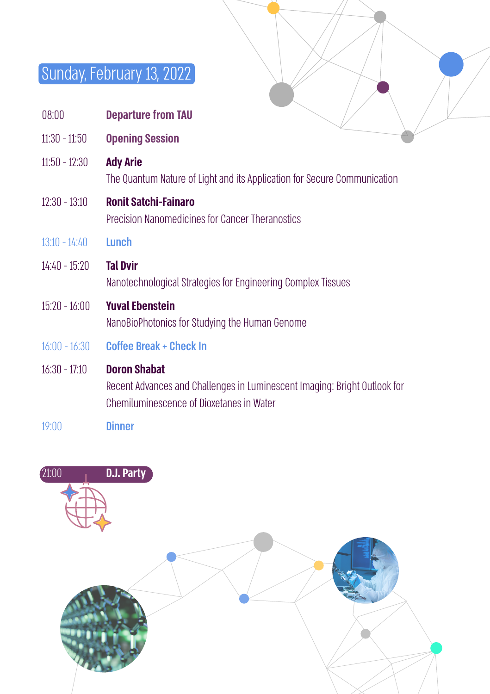## Sunday, February 13, 2022

|                 | <b>UUTIUUY, LUDI UULY 10, LULL</b>                                                                                                           |
|-----------------|----------------------------------------------------------------------------------------------------------------------------------------------|
|                 |                                                                                                                                              |
| 08:00           | <b>Departure from TAU</b>                                                                                                                    |
| 11:30 - 11:50   | <b>Opening Session</b>                                                                                                                       |
| 11:50 - 12:30   | <b>Ady Arie</b><br>The Quantum Nature of Light and its Application for Secure Communication                                                  |
| 12:30 - 13:10   | <b>Ronit Satchi-Fainaro</b><br>Precision Nanomedicines for Cancer Theranostics                                                               |
| 13:10 - 14:40   | Lunch                                                                                                                                        |
| 14:40 - 15:20   | <b>Tal Dvir</b><br>Nanotechnological Strategies for Engineering Complex Tissues                                                              |
| $15:20 - 16:00$ | <b>Yuval Ebenstein</b><br>NanoBioPhotonics for Studying the Human Genome                                                                     |
| $16:00 - 16:30$ | <b>Coffee Break + Check In</b>                                                                                                               |
| 16:30 - 17:10   | <b>Doron Shabat</b><br>Recent Advances and Challenges in Luminescent Imaging: Bright Outlook for<br>Chemiluminescence of Dioxetanes in Water |

19:00 Dinner

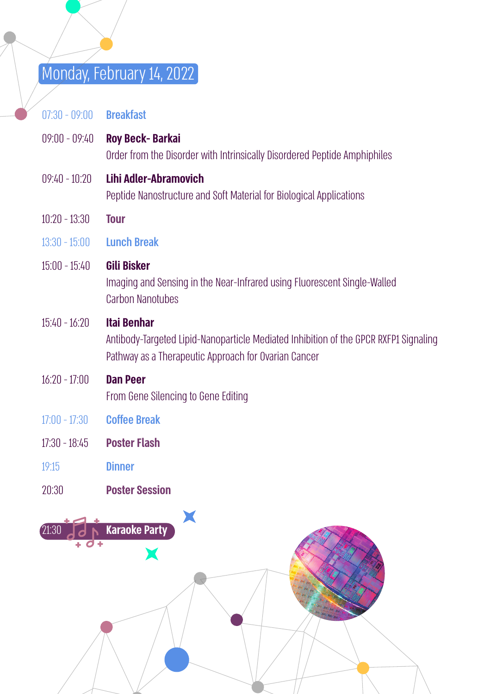## Monday, February 14, 2022

07:30 - 09:00 Breakfast

- 09:00 09:40 **Roy Beck- Barkai** Order from the Disorder with Intrinsically Disordered Peptide Amphiphiles
- 09:40 10:20 **Lihi Adler-Abramovich** Peptide Nanostructure and Soft Material for Biological Applications
- 10:20 13:30 **Tour**
- 13:30 15:00 Lunch Break

### 15:00 - 15:40 **Gili Bisker**

Imaging and Sensing in the Near-Infrared using Fluorescent Single-Walled Carbon Nanotubes

#### 15:40 - 16:20 **Itai Benhar**

Antibody-Targeted Lipid-Nanoparticle Mediated Inhibition of the GPCR RXFP1 Signaling Pathway as a Therapeutic Approach for Ovarian Cancer

#### 16:20 - 17:00 **Dan Peer**

From Gene Silencing to Gene Editing

- 17:00 17:30 Coffee Break
- 17:30 18:45 **Poster Flash**
- 19:15 Dinner
- 20:30 **Poster Session**